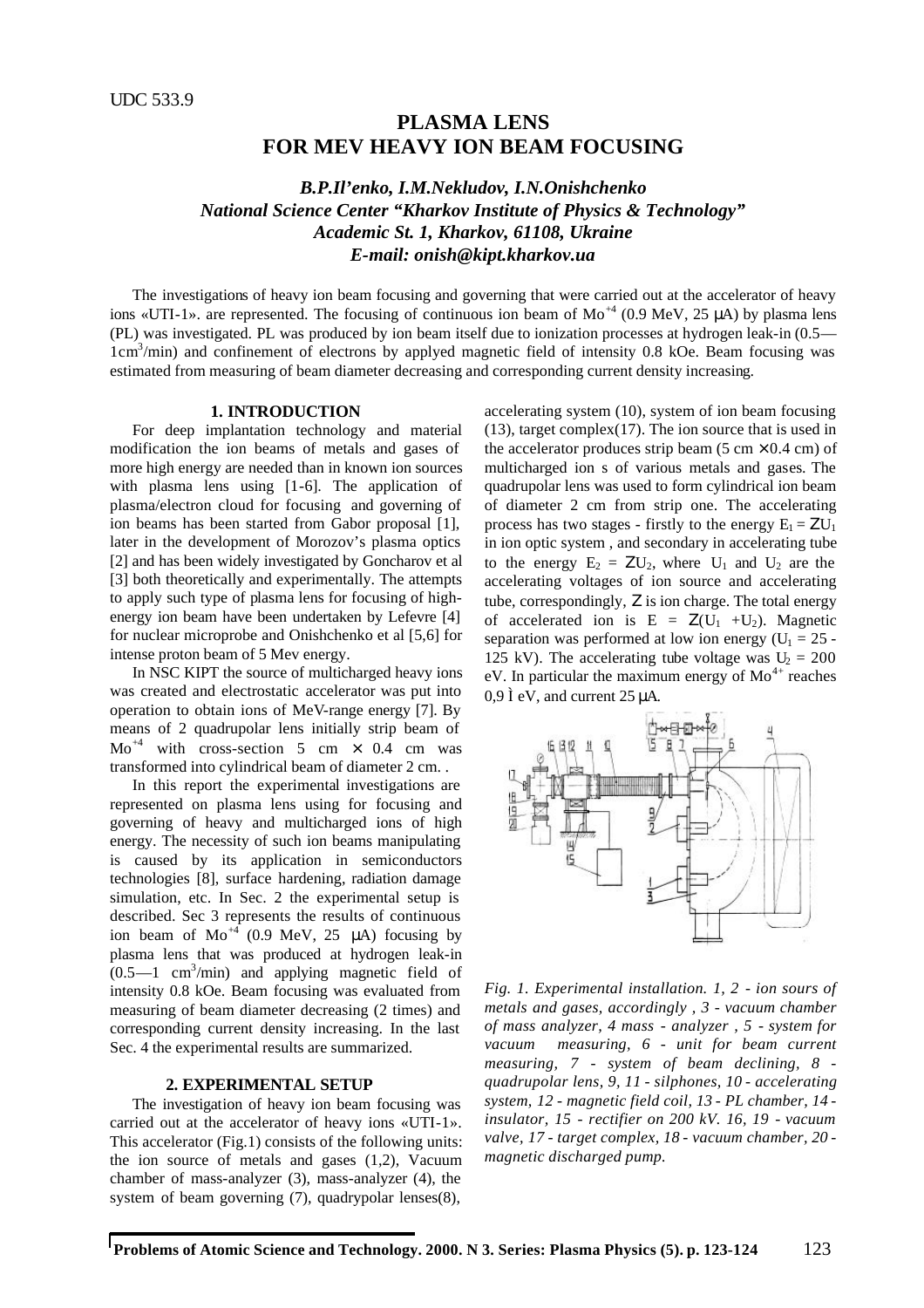# **PLASMA LENS FOR MEV HEAVY ION BEAM FOCUSING**

## *B.P.Il'enko, I.M.Nekludov, I.N.Onishchenko National Science Center "Kharkov Institute of Physics & Technology" Academic St. 1, Kharkov, 61108, Ukraine E-mail: onish@kipt.kharkov.ua*

The investigations of heavy ion beam focusing and governing that were carried out at the accelerator of heavy ions «UTI-1». are represented. The focusing of continuous ion beam of  $Mo^{+4}$  (0.9 MeV, 25 µA) by plasma lens (PL) was investigated. PL was produced by ion beam itself due to ionization processes at hydrogen leak-in (0.5— 1cm<sup>3</sup>/min) and confinement of electrons by applyed magnetic field of intensity 0.8 kOe. Beam focusing was estimated from measuring of beam diameter decreasing and corresponding current density increasing.

#### **1. INTRODUCTION**

For deep implantation technology and material modification the ion beams of metals and gases of more high energy are needed than in known ion sources with plasma lens using [1-6]. The application of plasma/electron cloud for focusing and governing of ion beams has been started from Gabor proposal [1], later in the development of Morozov's plasma optics [2] and has been widely investigated by Goncharov et al [3] both theoretically and experimentally. The attempts to apply such type of plasma lens for focusing of highenergy ion beam have been undertaken by Lefevre [4] for nuclear microprobe and Onishchenko et al [5,6] for intense proton beam of 5 Mev energy.

In NSC KIPT the source of multicharged heavy ions was created and electrostatic accelerator was put into operation to obtain ions of MeV-range energy [7]. By means of 2 quadrupolar lens initially strip beam of  $Mo^{+4}$  with cross-section 5 cm  $\times$  0.4 cm was transformed into cylindrical beam of diameter 2 cm. .

In this report the experimental investigations are represented on plasma lens using for focusing and governing of heavy and multicharged ions of high energy. The necessity of such ion beams manipulating is caused by its application in semiconductors technologies [8], surface hardening, radiation damage simulation, etc. In Sec. 2 the experimental setup is described. Sec 3 represents the results of continuous ion beam of  $Mo^{44}$  (0.9 MeV, 25  $\mu$ A) focusing by plasma lens that was produced at hydrogen leak-in  $(0.5-1 \text{ cm}^3/\text{min})$  and applying magnetic field of intensity 0.8 kOe. Beam focusing was evaluated from measuring of beam diameter decreasing (2 times) and corresponding current density increasing. In the last Sec. 4 the experimental results are summarized.

#### **2. EXPERIMENTAL SETUP**

The investigation of heavy ion beam focusing was carried out at the accelerator of heavy ions «UTI-1». This accelerator (Fig.1) consists of the following units: the ion source of metals and gases (1,2), Vacuum chamber of mass-analyzer (3), mass-analyzer (4), the system of beam governing (7), quadrypolar lenses(8),

accelerating system (10), system of ion beam focusing (13), target complex(17). The ion source that is used in the accelerator produces strip beam (5 cm  $\times$  0.4 cm) of multicharged ion s of various metals and gases. The quadrupolar lens was used to form cylindrical ion beam of diameter 2 cm from strip one. The accelerating process has two stages - firstly to the energy  $E_1 = ZU_1$ in ion optic system , and secondary in accelerating tube to the energy  $E_2 = ZU_2$ , where  $U_1$  and  $U_2$  are the accelerating voltages of ion source and accelerating tube, correspondingly, Ζ is ion charge. The total energy of accelerated ion is  $E = Z(U_1 + U_2)$ . Magnetic separation was performed at low ion energy ( $U_1 = 25$  -125 kV). The accelerating tube voltage was  $U_2 = 200$ eV. In particular the maximum energy of  $Mo^{4+}$  reaches  $0.9$  Ì eV, and current  $25 \mu A$ .



*Fig. 1. Experimental installation. 1, 2 - ion sours of metals and gases, accordingly , 3 - vacuum chamber of mass analyzer, 4 mass - analyzer , 5 - system for vacuum measuring, 6 - unit for beam current measuring, 7 - system of beam declining, 8 quadrupolar lens, 9, 11 - silphones, 10 - accelerating system, 12 - magnetic field coil, 13 - PL chamber, 14 insulator, 15 - rectifier on 200 kV. 16, 19 - vacuum valve, 17 - target complex, 18 - vacuum chamber, 20 magnetic discharged pump.*